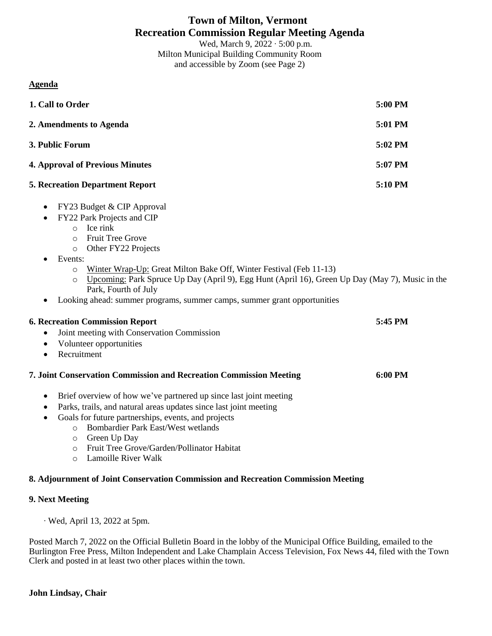# **Town of Milton, Vermont Recreation Commission Regular Meeting Agenda**

Wed, March 9, 2022 ∙ 5:00 p.m. Milton Municipal Building Community Room and accessible by Zoom (see Page 2)

### **Agenda**

| 1. Call to Order                                                                                                                                                                                                                                                                                                                                                                                                                                                            | 5:00 PM |
|-----------------------------------------------------------------------------------------------------------------------------------------------------------------------------------------------------------------------------------------------------------------------------------------------------------------------------------------------------------------------------------------------------------------------------------------------------------------------------|---------|
| 2. Amendments to Agenda                                                                                                                                                                                                                                                                                                                                                                                                                                                     | 5:01 PM |
| 3. Public Forum                                                                                                                                                                                                                                                                                                                                                                                                                                                             | 5:02 PM |
| <b>4. Approval of Previous Minutes</b>                                                                                                                                                                                                                                                                                                                                                                                                                                      | 5:07 PM |
| <b>5. Recreation Department Report</b>                                                                                                                                                                                                                                                                                                                                                                                                                                      | 5:10 PM |
| FY23 Budget & CIP Approval<br>$\bullet$<br>FY22 Park Projects and CIP<br>Ice rink<br>$\circ$<br>Fruit Tree Grove<br>$\circ$<br>Other FY22 Projects<br>$\circ$<br>Events:<br>Winter Wrap-Up: Great Milton Bake Off, Winter Festival (Feb 11-13)<br>$\circ$<br>Upcoming: Park Spruce Up Day (April 9), Egg Hunt (April 16), Green Up Day (May 7), Music in the<br>$\circ$<br>Park, Fourth of July<br>Looking ahead: summer programs, summer camps, summer grant opportunities |         |
| <b>6. Recreation Commission Report</b><br>Joint meeting with Conservation Commission<br>Volunteer opportunities<br>$\bullet$<br>Recruitment<br>$\bullet$                                                                                                                                                                                                                                                                                                                    | 5:45 PM |
| 7. Joint Conservation Commission and Recreation Commission Meeting                                                                                                                                                                                                                                                                                                                                                                                                          | 6:00 PM |
| Brief overview of how we've partnered up since last joint meeting<br>٠<br>Parks, trails, and natural areas updates since last joint meeting<br>$\bullet$<br>Goals for future partnerships, events, and projects<br>$\bullet$<br>Bombardier Park East/West wetlands<br>$\circ$<br>Green Up Day<br>$\circ$                                                                                                                                                                    |         |

- o Fruit Tree Grove/Garden/Pollinator Habitat
- o Lamoille River Walk

#### **8. Adjournment of Joint Conservation Commission and Recreation Commission Meeting**

#### **9. Next Meeting**

∙ Wed, April 13, 2022 at 5pm.

Posted March 7, 2022 on the Official Bulletin Board in the lobby of the Municipal Office Building, emailed to the Burlington Free Press, Milton Independent and Lake Champlain Access Television, Fox News 44, filed with the Town Clerk and posted in at least two other places within the town.